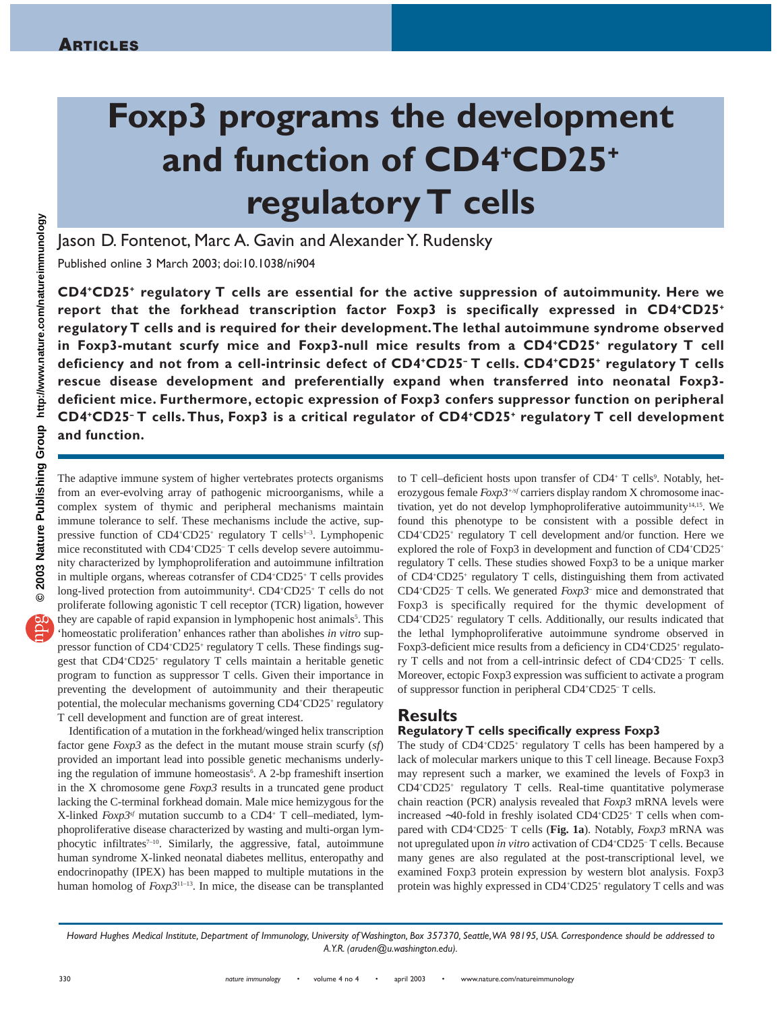# **Foxp3 programs the development and function of CD4+CD25+ regulatory T cells**

Jason D. Fontenot, Marc A. Gavin and Alexander Y. Rudensky

Published online 3 March 2003; doi:10.1038/ni904

**CD4+CD25+ regulatory T cells are essential for the active suppression of autoimmunity. Here we report that the forkhead transcription factor Foxp3 is specifically expressed in CD4+CD25+ regulatory T cells and is required for their development.The lethal autoimmune syndrome observed in Foxp3-mutant scurfy mice and Foxp3-null mice results from a CD4+CD25+ regulatory T cell deficiency and not from a cell-intrinsic defect of CD4+CD25– T cells. CD4+CD25+ regulatory T cells rescue disease development and preferentially expand when transferred into neonatal Foxp3 deficient mice. Furthermore, ectopic expression of Foxp3 confers suppressor function on peripheral CD4+CD25– T cells. Thus, Foxp3 is a critical regulator of CD4+CD25+ regulatory T cell development and function.**

@ 2003 Nature Publishing Group http://www.nature.com/natureimmunology **© 2003 Nature Publishing Group http://www.nature.com/natureimmunology**

The adaptive immune system of higher vertebrates protects organisms from an ever-evolving array of pathogenic microorganisms, while a complex system of thymic and peripheral mechanisms maintain immune tolerance to self. These mechanisms include the active, suppressive function of CD4+CD25+ regulatory T cells<sup>1-3</sup>. Lymphopenic mice reconstituted with CD4<sup>+</sup>CD25<sup>-</sup> T cells develop severe autoimmunity characterized by lymphoproliferation and autoimmune infiltration in multiple organs, whereas cotransfer of CD4+ CD25+ T cells provides long-lived protection from autoimmunity<sup>4</sup>. CD4+CD25+ T cells do not proliferate following agonistic T cell receptor (TCR) ligation, however they are capable of rapid expansion in lymphopenic host animals<sup>5</sup>. This 'homeostatic proliferation' enhances rather than abolishes *in vitro* suppressor function of CD4+CD25+ regulatory T cells. These findings suggest that CD4+ CD25+ regulatory T cells maintain a heritable genetic program to function as suppressor T cells. Given their importance in preventing the development of autoimmunity and their therapeutic potential, the molecular mechanisms governing CD4+CD25+ regulatory T cell development and function are of great interest.

Identification of a mutation in the forkhead/winged helix transcription factor gene *Foxp3* as the defect in the mutant mouse strain scurfy (*sf*) provided an important lead into possible genetic mechanisms underlying the regulation of immune homeostasis<sup>6</sup>. A 2-bp frameshift insertion in the X chromosome gene *Foxp3* results in a truncated gene product lacking the C-terminal forkhead domain. Male mice hemizygous for the X-linked *Foxp3sf* mutation succumb to a CD4+ T cell–mediated, lymphoproliferative disease characterized by wasting and multi-organ lymphocytic infiltrates<sup>7-10</sup>. Similarly, the aggressive, fatal, autoimmune human syndrome X-linked neonatal diabetes mellitus, enteropathy and endocrinopathy (IPEX) has been mapped to multiple mutations in the human homolog of *Foxp3*11–13. In mice, the disease can be transplanted

to T cell-deficient hosts upon transfer of CD4+ T cells<sup>9</sup>. Notably, heterozygous female *Foxp3+/sf* carriers display random X chromosome inactivation, yet do not develop lymphoproliferative autoimmunity<sup>14,15</sup>. We found this phenotype to be consistent with a possible defect in CD4+ CD25+ regulatory T cell development and/or function. Here we explored the role of Foxp3 in development and function of CD4+CD25+ regulatory T cells. These studies showed Foxp3 to be a unique marker of CD4+ CD25+ regulatory T cells, distinguishing them from activated CD4+ CD25– T cells. We generated *Foxp3–* mice and demonstrated that Foxp3 is specifically required for the thymic development of CD4+ CD25+ regulatory T cells. Additionally, our results indicated that the lethal lymphoproliferative autoimmune syndrome observed in Foxp3-deficient mice results from a deficiency in CD4+CD25+ regulatory T cells and not from a cell-intrinsic defect of CD4+ CD25– T cells. Moreover, ectopic Foxp3 expression was sufficient to activate a program of suppressor function in peripheral CD4+ CD25– T cells.

# **Results**

## **Regulatory T cells specifically express Foxp3**

The study of CD4<sup>+</sup>CD25<sup>+</sup> regulatory T cells has been hampered by a lack of molecular markers unique to this T cell lineage. Because Foxp3 may represent such a marker, we examined the levels of Foxp3 in CD4+ CD25+ regulatory T cells. Real-time quantitative polymerase chain reaction (PCR) analysis revealed that *Foxp3* mRNA levels were increased ∼40-fold in freshly isolated CD4+ CD25+ T cells when compared with CD4+ CD25– T cells (**Fig. 1a**). Notably, *Foxp3* mRNA was not upregulated upon *in vitro* activation of CD4<sup>+</sup>CD25<sup>-</sup>T cells. Because many genes are also regulated at the post-transcriptional level, we examined Foxp3 protein expression by western blot analysis. Foxp3 protein was highly expressed in CD4+CD25+ regulatory T cells and was

*Howard Hughes Medical Institute, Department of Immunology, University of Washington, Box 357370, Seattle,WA 98195, USA. Correspondence should be addressed to A.Y.R. (aruden@u.washington.edu).*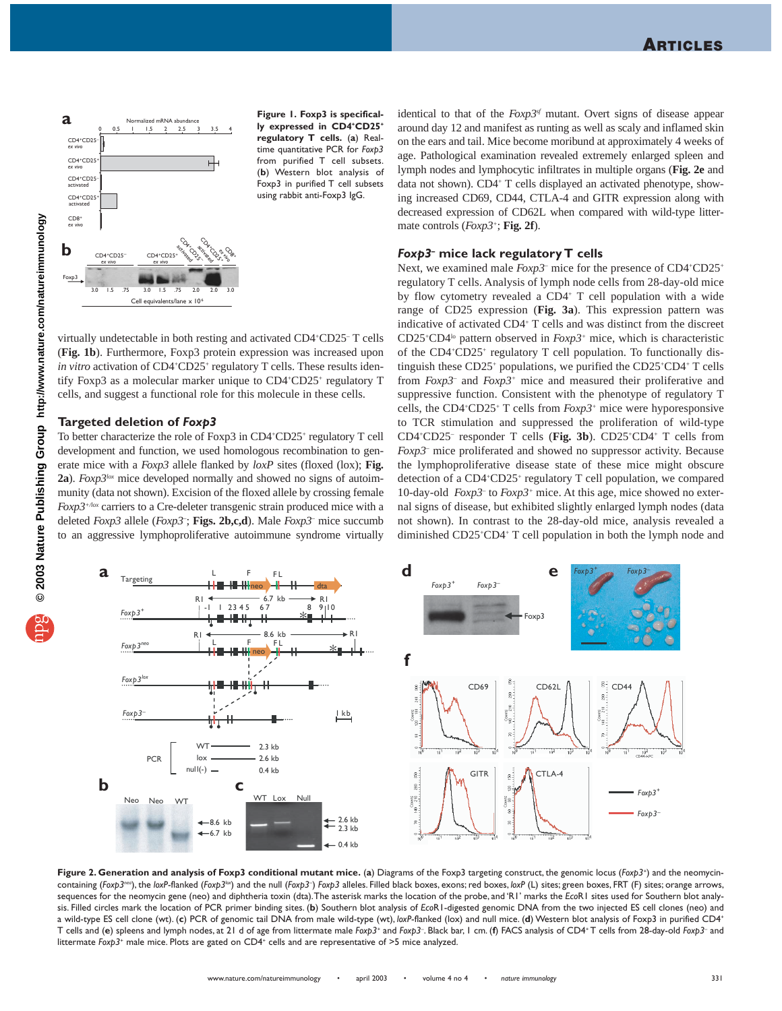

**Figure 1. Foxp3 is specifically expressed in CD4+CD25+ regulatory T cells.** (**a**) Realtime quantitative PCR for *Foxp3* from purified T cell subsets. (**b**) Western blot analysis of Foxp3 in purified T cell subsets using rabbit anti-Foxp3 IgG.

virtually undetectable in both resting and activated CD4+ CD25– T cells (**Fig. 1b**). Furthermore, Foxp3 protein expression was increased upon in vitro activation of CD4<sup>+</sup>CD25<sup>+</sup> regulatory T cells. These results identify Foxp3 as a molecular marker unique to CD4+CD25+ regulatory T cells, and suggest a functional role for this molecule in these cells.

#### **Targeted deletion of** *Foxp3*

To better characterize the role of Foxp3 in CD4+CD25+ regulatory T cell development and function, we used homologous recombination to generate mice with a *Foxp3* allele flanked by *loxP* sites (floxed (lox); **Fig.** 2a). *Foxp3lox* mice developed normally and showed no signs of autoimmunity (data not shown). Excision of the floxed allele by crossing female *Foxp3+/lox* carriers to a Cre-deleter transgenic strain produced mice with a deleted *Foxp3* allele (*Foxp3–* ; **Figs. 2b,c,d**). Male *Foxp3–* mice succumb to an aggressive lymphoproliferative autoimmune syndrome virtually

identical to that of the *Foxp3sf* mutant. Overt signs of disease appear around day 12 and manifest as runting as well as scaly and inflamed skin on the ears and tail. Mice become moribund at approximately 4 weeks of age. Pathological examination revealed extremely enlarged spleen and lymph nodes and lymphocytic infiltrates in multiple organs (**Fig. 2e** and data not shown). CD4+ T cells displayed an activated phenotype, showing increased CD69, CD44, CTLA-4 and GITR expression along with decreased expression of CD62L when compared with wild-type littermate controls (*Foxp3+*; **Fig. 2f**).

#### *Foxp3–* **mice lack regulatory T cells**

Next, we examined male  $F\alpha p3$ <sup>-</sup> mice for the presence of CD4<sup>+</sup>CD25<sup>+</sup> regulatory T cells. Analysis of lymph node cells from 28-day-old mice by flow cytometry revealed a CD4+ T cell population with a wide range of CD25 expression (**Fig. 3a**). This expression pattern was indicative of activated CD4+ T cells and was distinct from the discreet CD25+ CD4lo pattern observed in *Foxp3+* mice, which is characteristic of the CD4+ CD25+ regulatory T cell population. To functionally distinguish these CD25+ populations, we purified the CD25+ CD4+ T cells from *Foxp3–* and *Foxp3+* mice and measured their proliferative and suppressive function. Consistent with the phenotype of regulatory T cells, the CD4+ CD25+ T cells from *Foxp3+* mice were hyporesponsive to TCR stimulation and suppressed the proliferation of wild-type CD4+ CD25– responder T cells (**Fig. 3b**). CD25+ CD4+ T cells from *Foxp3–* mice proliferated and showed no suppressor activity. Because the lymphoproliferative disease state of these mice might obscure detection of a CD4+ CD25+ regulatory T cell population, we compared 10-day-old *Foxp3–* to *Foxp3+* mice. At this age, mice showed no external signs of disease, but exhibited slightly enlarged lymph nodes (data not shown). In contrast to the 28-day-old mice, analysis revealed a diminished CD25+ CD4+ T cell population in both the lymph node and



**Figure 2. Generation and analysis of Foxp3 conditional mutant mice.** (**a**) Diagrams of the Foxp3 targeting construct, the genomic locus (*Foxp3+*) and the neomycincontaining (Foxp3<sup>neo</sup>), the loxP-flanked (Foxp3<sup>lex</sup>) and the null (Foxp3<sup>-</sup>) Foxp3 alleles. Filled black boxes, exons; red boxes, loxP (L) sites; green boxes, FRT (F) sites; orange arrows, sequences for the neomycin gene (neo) and diphtheria toxin (dta).The asterisk marks the location of the probe, and 'R1' marks the *Eco*R1 sites used for Southern blot analysis. Filled circles mark the location of PCR primer binding sites. (**b**) Southern blot analysis of *Eco*R1-digested genomic DNA from the two injected ES cell clones (neo) and a wild-type ES cell clone (wt). (**c**) PCR of genomic tail DNA from male wild-type (wt), *loxP*-flanked (lox) and null mice. (**d**) Western blot analysis of Foxp3 in purified CD4+ T cells and (**e**) spleens and lymph nodes, at 21 d of age from littermate male *Foxp3+* and *Foxp3–* . Black bar, 1 cm. (**f**) FACS analysis of CD4+ T cells from 28-day-old *Foxp3–* and littermate *Foxp3<sup>+</sup>* male mice. Plots are gated on CD4<sup>+</sup> cells and are representative of >5 mice analyzed.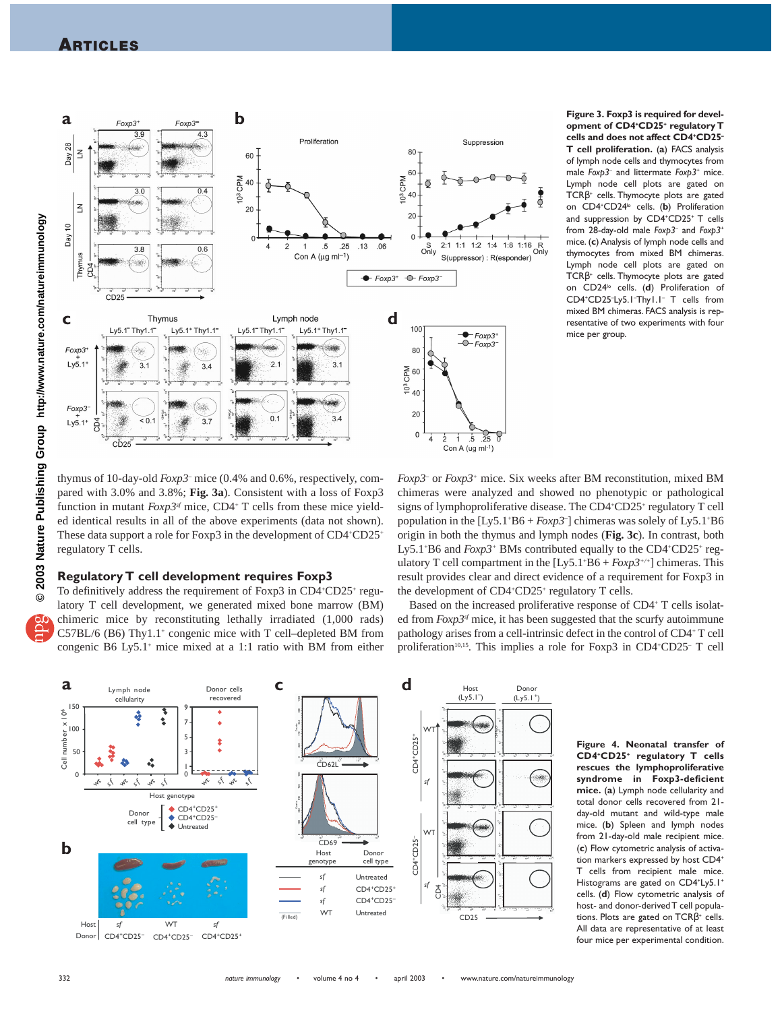## **ARTICLES**



**Figure 3. Foxp3 is required for development of CD4+ CD25+ regulatory T cells and does not affect CD4+ CD25– T cell proliferation.** (**a**) FACS analysis of lymph node cells and thymocytes from male *Foxp3–* and littermate *Foxp3+* mice. Lymph node cell plots are gated on TCRβ<sup>+</sup> cells. Thymocyte plots are gated on CD4+ CD24lo cells. (**b**) Proliferation and suppression by CD4+ CD25+ T cells from 28-day-old male *Foxp3–* and *Foxp3+* mice. (**c**) Analysis of lymph node cells and thymocytes from mixed BM chimeras. Lymph node cell plots are gated on TCRβ<sup>+</sup> cells. Thymocyte plots are gated on CD24<sup>1</sup> cells. (d) Proliferation of CD4+ CD25– Ly5.1– Thy1.1– T cells from mixed BM chimeras. FACS analysis is representative of two experiments with four mice per group.

thymus of 10-day-old *Foxp3–* mice (0.4% and 0.6%, respectively, compared with 3.0% and 3.8%; **Fig. 3a**). Consistent with a loss of Foxp3 function in mutant  $F\alpha p3^{sf}$  mice, CD4<sup>+</sup> T cells from these mice yielded identical results in all of the above experiments (data not shown). These data support a role for Foxp3 in the development of CD4+CD25+ regulatory T cells.

## **Regulatory T cell development requires Foxp3**

To definitively address the requirement of Foxp3 in CD4+CD25+ regulatory T cell development, we generated mixed bone marrow (BM) chimeric mice by reconstituting lethally irradiated (1,000 rads)  $C57BL/6$  (B6) Thy $1.1^+$  congenic mice with T cell–depleted BM from congenic B6 Ly5.1+ mice mixed at a 1:1 ratio with BM from either

*Foxp3–* or *Foxp3+* mice. Six weeks after BM reconstitution, mixed BM chimeras were analyzed and showed no phenotypic or pathological signs of lymphoproliferative disease. The CD4+CD25+ regulatory T cell population in the [Ly5.1+ B6 + *Foxp3–* ] chimeras was solely of Ly5.1+ B6 origin in both the thymus and lymph nodes (**Fig. 3c**). In contrast, both Ly5.1<sup>+</sup>B6 and *Foxp3*<sup>+</sup> BMs contributed equally to the CD4<sup>+</sup>CD25<sup>+</sup> regulatory T cell compartment in the [Ly5.1<sup>+</sup>B6 + *Foxp3<sup>+/+</sup>*] chimeras. This result provides clear and direct evidence of a requirement for Foxp3 in the development of CD4<sup>+</sup>CD25<sup>+</sup> regulatory T cells.

Based on the increased proliferative response of CD4+ T cells isolated from *Foxp3sf* mice, it has been suggested that the scurfy autoimmune pathology arises from a cell-intrinsic defect in the control of CD4+ T cell proliferation<sup>10,15</sup>. This implies a role for Foxp3 in CD4<sup>+</sup>CD25<sup>-</sup> T cell



**Figure 4. Neonatal transfer of CD4+CD25+ regulatory T cells rescues the lymphoproliferative syndrome in Foxp3-deficient mice.** (**a**) Lymph node cellularity and total donor cells recovered from 21 day-old mutant and wild-type male mice. (**b**) Spleen and lymph nodes from 21-day-old male recipient mice. (**c**) Flow cytometric analysis of activation markers expressed by host CD4+ T cells from recipient male mice. Histograms are gated on CD4<sup>+</sup>Ly5.1<sup>+</sup> cells. (**d**) Flow cytometric analysis of host- and donor-derived T cell populations. Plots are gated on  $TCR\beta^*$  cells. All data are representative of at least four mice per experimental condition.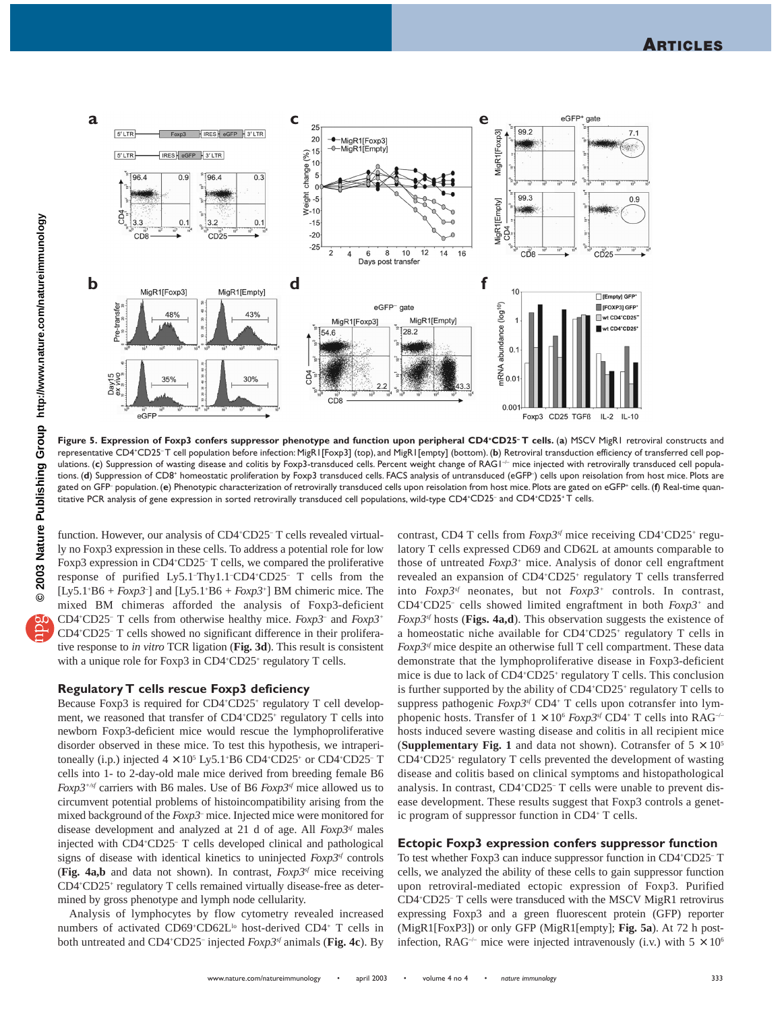

Figure 5. Expression of Foxp3 confers suppressor phenotype and function upon peripheral CD4<sup>+</sup>CD25<sup>-</sup>T cells. (a) MSCV MigR1 retroviral constructs and representative CD4+CD25–T cell population before infection: MigR1[Foxp3] (top), and MigR1[empty] (bottom). (**b**) Retroviral transduction efficiency of transferred cell populations. (c) Suppression of wasting disease and colitis by Foxp3-transduced cells. Percent weight change of RAG1<sup>-1</sup> mice injected with retrovirally transduced cell populations. **(d**) Suppression of CD8\* homeostatic proliferation by Foxp3 transduced cells. FACS analysis of untransduced (eGFP<sup>-</sup>) cells upon reisolation from host mice. Plots are gated on GFP– population. (**e**) Phenotypic characterization of retrovirally transduced cells upon reisolation from host mice. Plots are gated on eGFP+ cells. (**f**) Real-time quantitative PCR analysis of gene expression in sorted retrovirally transduced cell populations, wild-type CD4+CD25- and CD4+CD25+ T cells.

function. However, our analysis of CD4+ CD25– T cells revealed virtually no Foxp3 expression in these cells. To address a potential role for low Foxp3 expression in CD4<sup>+</sup>CD25<sup>-</sup> T cells, we compared the proliferative response of purified Ly5.1<sup>-</sup>Thy1.1<sup>-</sup>CD4<sup>+</sup>CD25<sup>-</sup> T cells from the [Ly5.1<sup>+</sup>B6 + *Foxp3*<sup>-</sup>] and [Ly5.1<sup>+</sup>B6 + *Foxp3*<sup>+</sup>] BM chimeric mice. The mixed BM chimeras afforded the analysis of Foxp3-deficient CD4+ CD25– T cells from otherwise healthy mice. *Foxp3–* and *Foxp3+* CD4+ CD25– T cells showed no significant difference in their proliferative response to *in vitro* TCR ligation (**Fig. 3d**). This result is consistent with a unique role for Foxp3 in CD4+CD25+ regulatory T cells.

#### **Regulatory T cells rescue Foxp3 deficiency**

Because Foxp3 is required for CD4+CD25+ regulatory T cell development, we reasoned that transfer of CD4+CD25+ regulatory T cells into newborn Foxp3-deficient mice would rescue the lymphoproliferative disorder observed in these mice. To test this hypothesis, we intraperitoneally (i.p.) injected  $4 \times 10^5$  Ly5.1<sup>+</sup>B6 CD4<sup>+</sup>CD25<sup>+</sup> or CD4<sup>+</sup>CD25<sup>-</sup> T cells into 1- to 2-day-old male mice derived from breeding female B6 *Foxp3+/sf* carriers with B6 males. Use of B6 *Foxp3sf* mice allowed us to circumvent potential problems of histoincompatibility arising from the mixed background of the *Foxp3–* mice. Injected mice were monitored for disease development and analyzed at 21 d of age. All *Foxp3sf* males injected with CD4+ CD25– T cells developed clinical and pathological signs of disease with identical kinetics to uninjected  $F\alpha p3^{sf}$  controls (**Fig. 4a,b** and data not shown). In contrast, *Foxp3sf* mice receiving CD4+ CD25+ regulatory T cells remained virtually disease-free as determined by gross phenotype and lymph node cellularity.

Analysis of lymphocytes by flow cytometry revealed increased numbers of activated CD69+CD62L<sup>10</sup> host-derived CD4+ T cells in both untreated and CD4+ CD25– injected *Foxp3sf* animals (**Fig. 4c**). By

contrast, CD4 T cells from  $F\alpha p3^{sf}$  mice receiving CD4+CD25+ regulatory T cells expressed CD69 and CD62L at amounts comparable to those of untreated *Foxp3+* mice. Analysis of donor cell engraftment revealed an expansion of CD4+ CD25+ regulatory T cells transferred into *Foxp3sf* neonates, but not *Foxp3+* controls. In contrast, CD4+ CD25– cells showed limited engraftment in both *Foxp3+* and *Foxp3sf* hosts (**Figs. 4a,d**). This observation suggests the existence of a homeostatic niche available for CD4+CD25+ regulatory T cells in *Foxp3<sup>sf</sup>* mice despite an otherwise full T cell compartment. These data demonstrate that the lymphoproliferative disease in Foxp3-deficient mice is due to lack of CD4+CD25+ regulatory T cells. This conclusion is further supported by the ability of CD4<sup>+</sup>CD25<sup>+</sup> regulatory T cells to suppress pathogenic *Foxp3<sup>sf</sup>* CD4<sup>+</sup> T cells upon cotransfer into lymphopenic hosts. Transfer of  $1 \times 10^6$  *Foxp3sf* CD4<sup>+</sup> T cells into RAG<sup>-/-</sup> hosts induced severe wasting disease and colitis in all recipient mice (**Supplementary Fig. 1** and data not shown). Cotransfer of  $5 \times 10^5$ CD4+ CD25+ regulatory T cells prevented the development of wasting disease and colitis based on clinical symptoms and histopathological analysis. In contrast, CD4+ CD25– T cells were unable to prevent disease development. These results suggest that Foxp3 controls a genetic program of suppressor function in CD4+ T cells.

## **Ectopic Foxp3 expression confers suppressor function**

To test whether Foxp3 can induce suppressor function in CD4+ CD25– T cells, we analyzed the ability of these cells to gain suppressor function upon retroviral-mediated ectopic expression of Foxp3. Purified CD4+ CD25– T cells were transduced with the MSCV MigR1 retrovirus expressing Foxp3 and a green fluorescent protein (GFP) reporter (MigR1[FoxP3]) or only GFP (MigR1[empty]; **Fig. 5a**). At 72 h postinfection, RAG<sup>-/-</sup> mice were injected intravenously (i.v.) with  $5 \times 10^6$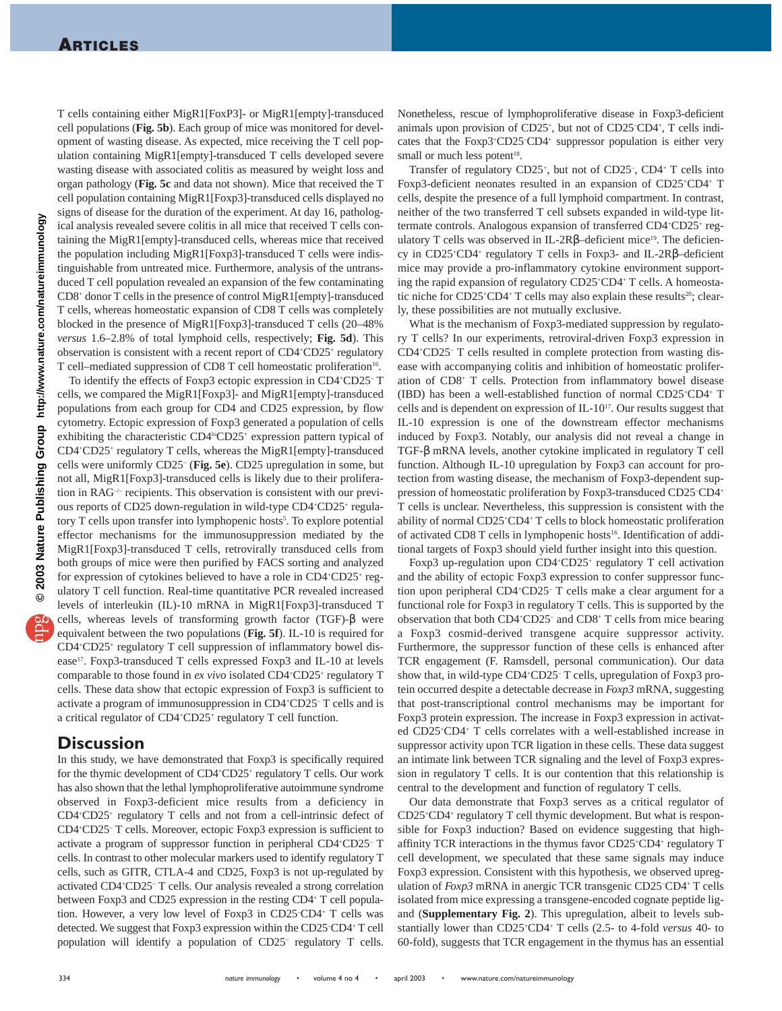T cells containing either MigR1[FoxP3]- or MigR1[empty]-transduced cell populations (**Fig. 5b**). Each group of mice was monitored for development of wasting disease. As expected, mice receiving the T cell population containing MigR1[empty]-transduced T cells developed severe wasting disease with associated colitis as measured by weight loss and organ pathology (**Fig. 5c** and data not shown). Mice that received the T cell population containing MigR1[Foxp3]-transduced cells displayed no signs of disease for the duration of the experiment. At day 16, pathological analysis revealed severe colitis in all mice that received T cells containing the MigR1[empty]-transduced cells, whereas mice that received the population including MigR1[Foxp3]-transduced T cells were indistinguishable from untreated mice. Furthermore, analysis of the untransduced T cell population revealed an expansion of the few contaminating CD8+ donor T cells in the presence of control MigR1[empty]-transduced T cells, whereas homeostatic expansion of CD8 T cells was completely blocked in the presence of MigR1[Foxp3]-transduced T cells (20–48% *versus* 1.6–2.8% of total lymphoid cells, respectively; **Fig. 5d**). This observation is consistent with a recent report of CD4+CD25+ regulatory T cell–mediated suppression of CD8 T cell homeostatic proliferation<sup>16</sup>.

To identify the effects of Foxp3 ectopic expression in CD4+ CD25– T cells, we compared the MigR1[Foxp3]- and MigR1[empty]-transduced populations from each group for CD4 and CD25 expression, by flow cytometry. Ectopic expression of Foxp3 generated a population of cells exhibiting the characteristic  $CD4^{\text{lo}}CD25^+$  expression pattern typical of CD4+ CD25+ regulatory T cells, whereas the MigR1[empty]-transduced cells were uniformly CD25– (**Fig. 5e**). CD25 upregulation in some, but not all, MigR1[Foxp3]-transduced cells is likely due to their proliferation in RAG–/– recipients. This observation is consistent with our previous reports of CD25 down-regulation in wild-type CD4+CD25+ regulatory T cells upon transfer into lymphopenic hosts<sup>5</sup>. To explore potential effector mechanisms for the immunosuppression mediated by the MigR1[Foxp3]-transduced T cells, retrovirally transduced cells from both groups of mice were then purified by FACS sorting and analyzed for expression of cytokines believed to have a role in CD4+CD25+ regulatory T cell function. Real-time quantitative PCR revealed increased levels of interleukin (IL)-10 mRNA in MigR1[Foxp3]-transduced T cells, whereas levels of transforming growth factor (TGF)-β were equivalent between the two populations (**Fig. 5f**). IL-10 is required for CD4+ CD25+ regulatory T cell suppression of inflammatory bowel disease17. Foxp3-transduced T cells expressed Foxp3 and IL-10 at levels comparable to those found in ex vivo isolated CD4+CD25+ regulatory T cells. These data show that ectopic expression of Foxp3 is sufficient to activate a program of immunosuppression in CD4+ CD25– T cells and is a critical regulator of CD4+CD25+ regulatory T cell function.

## **Discussion**

In this study, we have demonstrated that Foxp3 is specifically required for the thymic development of CD4+CD25+ regulatory T cells. Our work has also shown that the lethal lymphoproliferative autoimmune syndrome observed in Foxp3-deficient mice results from a deficiency in CD4+ CD25+ regulatory T cells and not from a cell-intrinsic defect of CD4+ CD25– T cells. Moreover, ectopic Foxp3 expression is sufficient to activate a program of suppressor function in peripheral CD4+ CD25– T cells. In contrast to other molecular markers used to identify regulatory T cells, such as GITR, CTLA-4 and CD25, Foxp3 is not up-regulated by activated CD4+ CD25– T cells. Our analysis revealed a strong correlation between Foxp3 and CD25 expression in the resting CD4+ T cell population. However, a very low level of Foxp3 in CD25– CD4+ T cells was detected. We suggest that Foxp3 expression within the CD25– CD4+ T cell population will identify a population of CD25– regulatory T cells.

Nonetheless, rescue of lymphoproliferative disease in Foxp3-deficient animals upon provision of CD25<sup>+</sup>, but not of CD25<sup>-</sup>CD4<sup>+</sup>, T cells indicates that the Foxp3+CD25-CD4+ suppressor population is either very small or much less potent<sup>18</sup>.

Transfer of regulatory CD25<sup>+</sup>, but not of CD25<sup>-</sup>, CD4<sup>+</sup> T cells into Foxp3-deficient neonates resulted in an expansion of CD25+CD4+ T cells, despite the presence of a full lymphoid compartment. In contrast, neither of the two transferred T cell subsets expanded in wild-type littermate controls. Analogous expansion of transferred CD4+CD25+ regulatory T cells was observed in IL-2Rβ–deficient mice<sup>19</sup>. The deficiency in CD25<sup>+</sup>CD4<sup>+</sup> regulatory T cells in Foxp3- and IL-2Rβ-deficient mice may provide a pro-inflammatory cytokine environment supporting the rapid expansion of regulatory CD25+ CD4+ T cells. A homeostatic niche for CD25<sup>+</sup>CD4<sup>+</sup> T cells may also explain these results<sup>20</sup>; clearly, these possibilities are not mutually exclusive.

What is the mechanism of Foxp3-mediated suppression by regulatory T cells? In our experiments, retroviral-driven Foxp3 expression in CD4+ CD25– T cells resulted in complete protection from wasting disease with accompanying colitis and inhibition of homeostatic proliferation of CD8+ T cells. Protection from inflammatory bowel disease (IBD) has been a well-established function of normal CD25+ CD4+ T cells and is dependent on expression of IL-1017. Our results suggest that IL-10 expression is one of the downstream effector mechanisms induced by Foxp3. Notably, our analysis did not reveal a change in TGF-β mRNA levels, another cytokine implicated in regulatory T cell function. Although IL-10 upregulation by Foxp3 can account for protection from wasting disease, the mechanism of Foxp3-dependent suppression of homeostatic proliferation by Foxp3-transduced CD25-CD4+ T cells is unclear. Nevertheless, this suppression is consistent with the ability of normal CD25+ CD4+ T cells to block homeostatic proliferation of activated CD8 T cells in lymphopenic hosts<sup>16</sup>. Identification of additional targets of Foxp3 should yield further insight into this question.

Foxp3 up-regulation upon CD4+CD25+ regulatory T cell activation and the ability of ectopic Foxp3 expression to confer suppressor function upon peripheral CD4+ CD25– T cells make a clear argument for a functional role for Foxp3 in regulatory T cells. This is supported by the observation that both CD4+ CD25– and CD8+ T cells from mice bearing a Foxp3 cosmid-derived transgene acquire suppressor activity. Furthermore, the suppressor function of these cells is enhanced after TCR engagement (F. Ramsdell, personal communication). Our data show that, in wild-type CD4+CD25-T cells, upregulation of Foxp3 protein occurred despite a detectable decrease in *Foxp3* mRNA, suggesting that post-transcriptional control mechanisms may be important for Foxp3 protein expression. The increase in Foxp3 expression in activated CD25+ CD4+ T cells correlates with a well-established increase in suppressor activity upon TCR ligation in these cells. These data suggest an intimate link between TCR signaling and the level of Foxp3 expression in regulatory T cells. It is our contention that this relationship is central to the development and function of regulatory T cells.

Our data demonstrate that Foxp3 serves as a critical regulator of CD25+ CD4+ regulatory T cell thymic development. But what is responsible for Foxp3 induction? Based on evidence suggesting that highaffinity TCR interactions in the thymus favor CD25+CD4+ regulatory T cell development, we speculated that these same signals may induce Foxp3 expression. Consistent with this hypothesis, we observed upregulation of *Foxp3* mRNA in anergic TCR transgenic CD25<sup>-</sup>CD4<sup>+</sup> T cells isolated from mice expressing a transgene-encoded cognate peptide ligand (**Supplementary Fig. 2**). This upregulation, albeit to levels substantially lower than CD25+ CD4+ T cells (2.5- to 4-fold *versus* 40- to 60-fold), suggests that TCR engagement in the thymus has an essential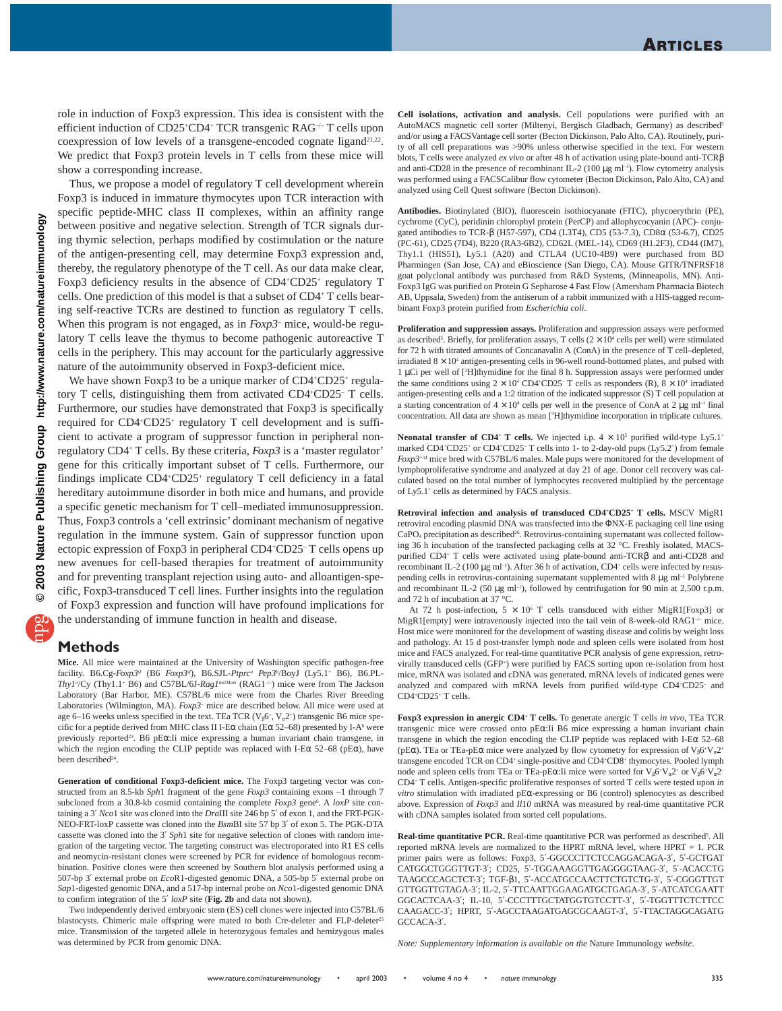role in induction of Foxp3 expression. This idea is consistent with the efficient induction of CD25<sup>+</sup>CD4<sup>+</sup> TCR transgenic RAG<sup>-/-</sup> T cells upon coexpression of low levels of a transgene-encoded cognate ligand<sup>21,22</sup>. We predict that Foxp3 protein levels in T cells from these mice will show a corresponding increase.

Thus, we propose a model of regulatory T cell development wherein Foxp3 is induced in immature thymocytes upon TCR interaction with specific peptide-MHC class II complexes, within an affinity range between positive and negative selection. Strength of TCR signals during thymic selection, perhaps modified by costimulation or the nature of the antigen-presenting cell, may determine Foxp3 expression and, thereby, the regulatory phenotype of the T cell. As our data make clear, Foxp3 deficiency results in the absence of CD4+CD25+ regulatory T cells. One prediction of this model is that a subset of CD4+ T cells bearing self-reactive TCRs are destined to function as regulatory T cells. When this program is not engaged, as in *Foxp3–* mice, would-be regulatory T cells leave the thymus to become pathogenic autoreactive T cells in the periphery. This may account for the particularly aggressive nature of the autoimmunity observed in Foxp3-deficient mice.

We have shown Foxp3 to be a unique marker of CD4+CD25+ regulatory T cells, distinguishing them from activated CD4+ CD25– T cells. Furthermore, our studies have demonstrated that Foxp3 is specifically required for CD4+CD25+ regulatory T cell development and is sufficient to activate a program of suppressor function in peripheral nonregulatory CD4+ T cells. By these criteria, *Foxp3* is a 'master regulator' gene for this critically important subset of T cells. Furthermore, our findings implicate CD4+CD25+ regulatory T cell deficiency in a fatal hereditary autoimmune disorder in both mice and humans, and provide a specific genetic mechanism for T cell–mediated immunosuppression. Thus, Foxp3 controls a 'cell extrinsic' dominant mechanism of negative regulation in the immune system. Gain of suppressor function upon ectopic expression of Foxp3 in peripheral CD4+CD25-T cells opens up new avenues for cell-based therapies for treatment of autoimmunity and for preventing transplant rejection using auto- and alloantigen-specific, Foxp3-transduced T cell lines. Further insights into the regulation of Foxp3 expression and function will have profound implications for the understanding of immune function in health and disease.

## **Methods**

**Mice.** All mice were maintained at the University of Washington specific pathogen-free facility. B6.Cg-*Foxp3sf* (B6 *Foxp3sf*), B6.SJL-*Ptprca Pep3b* /BoyJ (Ly5.1+ B6), B6.PL-*Thy1<sup>a</sup>*/Cy (Thy1.1<sup>+</sup> B6) and C57BL/6J-*Rag1<sup>m1Mom</sup>* (RAG1<sup>-/-</sup>) mice were from The Jackson Laboratory (Bar Harbor, ME). C57BL/6 mice were from the Charles River Breeding Laboratories (Wilmington, MA). *Foxp3–* mice are described below. All mice were used at age 6–16 weeks unless specified in the text. TEa TCR ( $V_{\beta}$ 6<sup>+</sup>,  $V_{\alpha}$ 2<sup>+</sup>) transgenic B6 mice specific for a peptide derived from MHC class II I-E $\alpha$  chain (E $\alpha$  52–68) presented by I-A<sup>b</sup> were previously reported23. B6 pEα:Ii mice expressing a human invariant chain transgene, in which the region encoding the CLIP peptide was replaced with I-E $\alpha$  52–68 (pE $\alpha$ ), have been described<sup>24</sup>.

**Generation of conditional Foxp3-deficient mice.** The Foxp3 targeting vector was constructed from an 8.5-kb *Sph*1 fragment of the gene *Foxp3* containing exons –1 through 7 subcloned from a 30.8-kb cosmid containing the complete *Foxp3* gene<sup>6</sup>. A *loxP* site containing a 3′ *Nco*1 site was cloned into the *Dra*III site 246 bp 5′ of exon 1, and the FRT-PGK-NEO-FRT-loxP cassette was cloned into the *Bsm*BI site 57 bp 3′ of exon 5. The PGK-DTA cassette was cloned into the 3′ *Sph*1 site for negative selection of clones with random integration of the targeting vector. The targeting construct was electroporated into R1 ES cells and neomycin-resistant clones were screened by PCR for evidence of homologous recombination. Positive clones were then screened by Southern blot analysis performed using a 507-bp 3′ external probe on *Eco*R1-digested genomic DNA, a 505-bp 5′ external probe on *Sap*1-digested genomic DNA, and a 517-bp internal probe on *Nco*1-digested genomic DNA to confirm integration of the 5′ *loxP* site (**Fig. 2b** and data not shown).

Two independently derived embryonic stem (ES) cell clones were injected into C57BL/6 blastocysts. Chimeric male offspring were mated to both Cre-deleter and FLP-deleter<sup>25</sup> mice. Transmission of the targeted allele in heterozygous females and hemizygous males was determined by PCR from genomic DNA.

**Cell isolations, activation and analysis.** Cell populations were purified with an AutoMACS magnetic cell sorter (Miltenyi, Bergisch Gladbach, Germany) as described<sup>5</sup> and/or using a FACSVantage cell sorter (Becton Dickinson, Palo Alto, CA). Routinely, purity of all cell preparations was >90% unless otherwise specified in the text. For western blots, T cells were analyzed *ex vivo* or after 48 h of activation using plate-bound anti-TCRβ and anti-CD28 in the presence of recombinant IL-2 (100 µg ml<sup>-1</sup>). Flow cytometry analysis was performed using a FACSCalibur flow cytometer (Becton Dickinson, Palo Alto, CA) and analyzed using Cell Quest software (Becton Dickinson).

**Antibodies.** Biotinylated (BIO), fluorescein isothiocyanate (FITC), phycoerythrin (PE), cychrome (CyC), peridinin chlorophyl protein (PerCP) and allophycocyanin (APC)- conjugated antibodies to TCR-β (H57-597), CD4 (L3T4), CD5 (53-7.3), CD8α (53-6.7), CD25 (PC-61), CD25 (7D4), B220 (RA3-6B2), CD62L (MEL-14), CD69 (H1.2F3), CD44 (IM7), Thy1.1 (HIS51), Ly5.1 (A20) and CTLA4 (UC10-4B9) were purchased from BD Pharmingen (San Jose, CA) and eBioscience (San Diego, CA). Mouse GITR/TNFRSF18 goat polyclonal antibody was purchased from R&D Systems, (Minneapolis, MN). Anti-Foxp3 IgG was purified on Protein G Sepharose 4 Fast Flow (Amersham Pharmacia Biotech AB, Uppsala, Sweden) from the antiserum of a rabbit immunized with a HIS-tagged recombinant Foxp3 protein purified from *Escherichia coli*.

**Proliferation and suppression assays.** Proliferation and suppression assays were performed as described<sup>5</sup>. Briefly, for proliferation assays, T cells  $(2 \times 10^4$  cells per well) were stimulated for 72 h with titrated amounts of Concanavalin A (ConA) in the presence of T cell–depleted, irradiated  $8 \times 10^4$  antigen-presenting cells in 96-well round-bottomed plates, and pulsed with 1 µCi per well of [3 H]thymidine for the final 8 h. Suppression assays were performed under the same conditions using  $2 \times 10^4$  CD4<sup>+</sup>CD25<sup>-</sup> T cells as responders (R),  $8 \times 10^4$  irradiated antigen-presenting cells and a 1:2 titration of the indicated suppressor (S) T cell population at a starting concentration of  $4 \times 10^4$  cells per well in the presence of ConA at 2 µg ml<sup>-1</sup> final concentration. All data are shown as mean [3 H]thymidine incorporation in triplicate cultures.

**Neonatal transfer of CD4<sup>+</sup> T cells.** We injected i.p.  $4 \times 10^5$  purified wild-type Ly5.1<sup>+</sup> marked CD4+CD25+ or CD4+CD25- T cells into 1- to 2-day-old pups (Ly5.2+) from female *Foxp3*<sup>+/sf</sup> mice bred with C57BL/6 males. Male pups were monitored for the development of lymphoproliferative syndrome and analyzed at day 21 of age. Donor cell recovery was calculated based on the total number of lymphocytes recovered multiplied by the percentage of Ly5.1+ cells as determined by FACS analysis.

**Retroviral infection and analysis of transduced CD4+ CD25+ T cells.** MSCV MigR1 retroviral encoding plasmid DNA was transfected into the ΦNX-E packaging cell line using CaPO<sub>4</sub> precipitation as described<sup>26</sup>. Retrovirus-containing supernatant was collected following 36 h incubation of the transfected packaging cells at 32 °C. Freshly isolated, MACSpurified CD4+ T cells were activated using plate-bound anti-TCRβ and anti-CD28 and recombinant IL-2 (100  $\mu$ g ml<sup>-1</sup>). After 36 h of activation, CD4<sup>+</sup> cells were infected by resuspending cells in retrovirus-containing supernatant supplemented with  $8 \mu g$  ml<sup>-1</sup> Polybrene and recombinant IL-2 (50  $\mu$ g ml<sup>-1</sup>), followed by centrifugation for 90 min at 2,500 r.p.m. and 72 h of incubation at 37 °C.

At 72 h post-infection,  $5 \times 10^6$  T cells transduced with either MigR1[Foxp3] or MigR1[empty] were intravenously injected into the tail vein of 8-week-old RAG1 $\div$  mice. Host mice were monitored for the development of wasting disease and colitis by weight loss and pathology. At 15 d post-transfer lymph node and spleen cells were isolated from host mice and FACS analyzed. For real-time quantitative PCR analysis of gene expression, retrovirally transduced cells (GFP+ ) were purified by FACS sorting upon re-isolation from host mice, mRNA was isolated and cDNA was generated. mRNA levels of indicated genes were analyzed and compared with mRNA levels from purified wild-type CD4+CD25- and CD4+ CD25+ T cells.

**Foxp3 expression in anergic CD4+ T cells.** To generate anergic T cells *in vivo*, TEa TCR transgenic mice were crossed onto pEα:Ii B6 mice expressing a human invariant chain transgene in which the region encoding the CLIP peptide was replaced with I-Eα 52–68 (pEα). TEa or TEa-pEα mice were analyzed by flow cytometry for expression of  $V_{\beta}6+V_{\alpha}2+$ transgene encoded TCR on CD4+ single-positive and CD4+CD8+ thymocytes. Pooled lymph node and spleen cells from TEa or TEa-pEα: Ii mice were sorted for  $V_86+V_82+$  or  $V_86+V_82-$ CD4+ T cells. Antigen-specific proliferative responses of sorted T cells were tested upon *in vitro* stimulation with irradiated pEα-expressing or B6 (control) splenocytes as described above. Expression of *Foxp3* and *Il10* mRNA was measured by real-time quantitative PCR with cDNA samples isolated from sorted cell populations.

Real-time quantitative PCR. Real-time quantitative PCR was performed as described<sup>5</sup>. All reported mRNA levels are normalized to the HPRT mRNA level, where HPRT  $= 1$ . PCR primer pairs were as follows: Foxp3, 5′-GGCCCTTCTCCAGGACAGA-3′, 5′-GCTGAT CATGGCTGGGTTGT-3′; CD25, 5′-TGGAAAGGTTGAGGGGTAAG-3′, 5′-ACACCTG TAAGCCCAGCTCT-3′; TGF-β1, 5′-ACCATGCCAACTTCTGTCTG-3′, 5′-CGGGTTGT GTTGGTTGTAGA-3′; IL-2, 5′-TTCAATTGGAAGATGCTGAGA-3′, 5′-ATCATCGAATT GGCACTCAA-3′; IL-10, 5′-CCCTTTGCTATGGTGTCCTT-3′, 5′-TGGTTTCTCTTCC CAAGACC-3′; HPRT, 5′-AGCCTAAGATGAGCGCAAGT-3′, 5′-TTACTAGGCAGATG GCCACA-3′.

*Note: Supplementary information is available on the* Nature Immunology *website*.